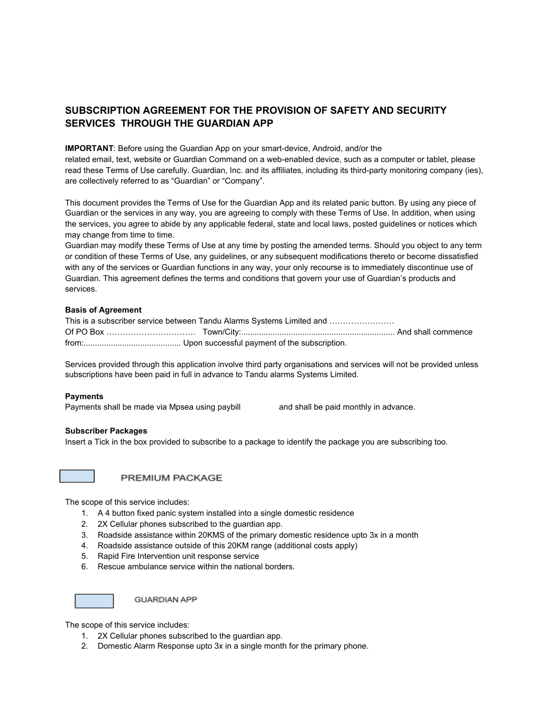# **SUBSCRIPTION AGREEMENT FOR THE PROVISION OF SAFETY AND SECURITY SERVICES THROUGH THE GUARDIAN APP**

**IMPORTANT**: Before using the Guardian App on your smart-device, Android, and/or the

related email, text, website or Guardian Command on a web-enabled device, such as a computer or tablet, please read these Terms of Use carefully. Guardian, Inc. and its affiliates, including its third-party monitoring company (ies), are collectively referred to as "Guardian" or "Company".

This document provides the Terms of Use for the Guardian App and its related panic button. By using any piece of Guardian or the services in any way, you are agreeing to comply with these Terms of Use. In addition, when using the services, you agree to abide by any applicable federal, state and local laws, posted guidelines or notices which may change from time to time.

Guardian may modify these Terms of Use at any time by posting the amended terms. Should you object to any term or condition of these Terms of Use, any guidelines, or any subsequent modifications thereto or become dissatisfied with any of the services or Guardian functions in any way, your only recourse is to immediately discontinue use of Guardian. This agreement defines the terms and conditions that govern your use of Guardian's products and services.

## **Basis of Agreement**

| This is a subscriber service between Tandu Alarms Systems Limited and |  |
|-----------------------------------------------------------------------|--|
|                                                                       |  |
|                                                                       |  |

Services provided through this application involve third party organisations and services will not be provided unless subscriptions have been paid in full in advance to Tandu alarms Systems Limited.

## **Payments**

Payments shall be made via Mpsea using paybill and shall be paid monthly in advance.

#### **Subscriber Packages**

Insert a Tick in the box provided to subscribe to a package to identify the package you are subscribing too.



PREMIUM PACKAGE

The scope of this service includes:

- 1. A 4 button fixed panic system installed into a single domestic residence
- 2. 2X Cellular phones subscribed to the guardian app.
- 3. Roadside assistance within 20KMS of the primary domestic residence upto 3x in a month
- 4. Roadside assistance outside of this 20KM range (additional costs apply)
- 5. Rapid Fire Intervention unit response service
- 6. Rescue ambulance service within the national borders.



**GUARDIAN APP** 

The scope of this service includes:

- 1. 2X Cellular phones subscribed to the guardian app.
- 2. Domestic Alarm Response upto 3x in a single month for the primary phone.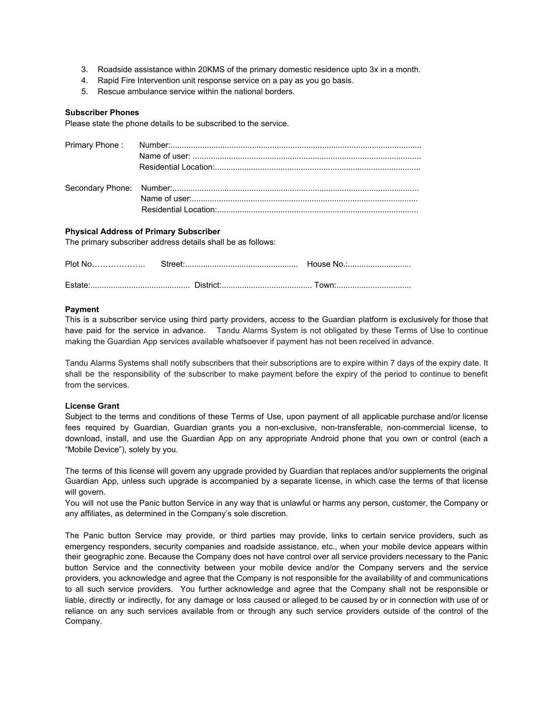- 3. Roadside assistance within 20KMS of the primary domestic residence upto 3x in a month.
- 4. Rapid Fire Intervention unit response service on a pay as you go basis.
- 5. Rescue ambulance service within the national borders.

#### **Subscriber Phones**

Please state the phone details to be subscribed to the service.

#### **Physical Address of Primary Subscriber**

The primary subscriber address details shall be as follows:

| Plot No       | HAUSA NA |
|---------------|----------|
| <b>Estate</b> | Town.    |

#### **Payment**

This is a subscriber service using third party providers, access to the Guardian platform is exclusively for those that have paid for the service in advance. Tandu Alarms System is not obligated by these Terms of Use to continue making the Guardian App services available whatsoever if payment has not been received in advance.

Tandu Alarms Systems shall notify subscribers that their subscriptions are to expire within 7 days of the expiry date. It shall be the responsibility of the subscriber to make payment before the expiry of the period to continue to benefit from the services.

### **License Grant**

Subject to the terms and conditions of these Terms of Use, upon payment of all applicable purchase and/or license fees required by Guardian, Guardian grants you a non-exclusive, non-transferable, non-commercial license, to download, install, and use the Guardian App on any appropriate Android phone that you own or control (each a "Mobile Device"), solely by you.

The terms of this license will govern any upgrade provided by Guardian that replaces and/or supplements the original Guardian App, unless such upgrade is accompanied by a separate license, in which case the terms of that license will govern.

You will not use the Panic button Service in any way that is unlawful or harms any person, customer, the Company or any affiliates, as determined in the Company's sole discretion.

The Panic button Service may provide, or third parties may provide, links to certain service providers, such as emergency responders, security companies and roadside assistance, etc., when your mobile device appears within their geographic zone. Because the Company does not have control over all service providers necessary to the Panic button Service and the connectivity between your mobile device and/or the Company servers and the service providers, you acknowledge and agree that the Company is not responsible for the availability of and communications to all such service providers. You further acknowledge and agree that the Company shall not be responsible or liable, directly or indirectly, for any damage or loss caused or alleged to be caused by or in connection with use of or reliance on any such services available from or through any such service providers outside of the control of the Company.